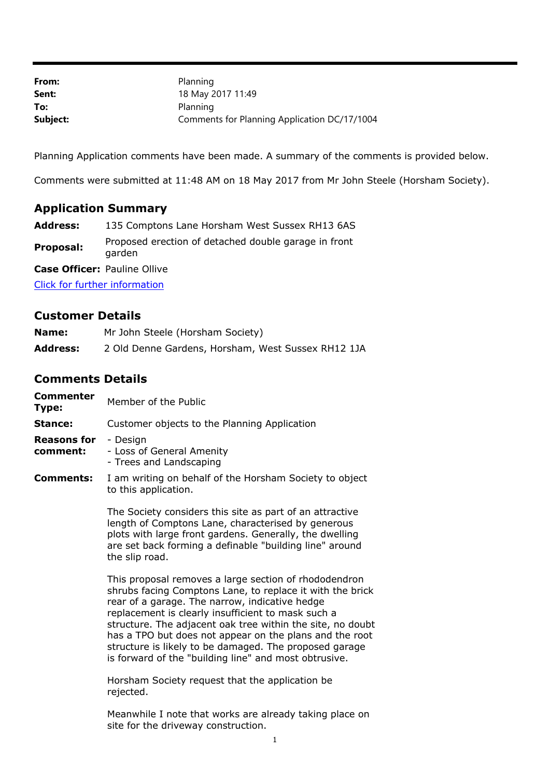| From:    | Planning                                     |
|----------|----------------------------------------------|
| Sent:    | 18 May 2017 11:49                            |
| To:      | Planning                                     |
| Subject: | Comments for Planning Application DC/17/1004 |

Planning Application comments have been made. A summary of the comments is provided below.

Comments were submitted at 11:48 AM on 18 May 2017 from Mr John Steele (Horsham Society).

## **Application Summary**

| Address: | 135 Comptons Lane Horsham West Sussex RH13 6AS |
|----------|------------------------------------------------|
|----------|------------------------------------------------|

**Proposal:** Proposed erection of detached double garage in front garden

**Case Officer:** Pauline Ollive

[Click for further information](https://public-access.horsham.gov.uk/public-access//centralDistribution.do?caseType=Application&keyVal=OPH2ELIJHCL00)

## **Customer Details**

| Name:           | Mr John Steele (Horsham Society)                   |
|-----------------|----------------------------------------------------|
| <b>Address:</b> | 2 Old Denne Gardens, Horsham, West Sussex RH12 1JA |

## **Comments Details**

| <b>Commenter</b><br>Type:      | Member of the Public                                                            |
|--------------------------------|---------------------------------------------------------------------------------|
| Stance:                        | Customer objects to the Planning Application                                    |
| <b>Reasons for</b><br>comment: | - Design<br>- Loss of General Amenity<br>- Trees and Landscaping                |
| Comments:                      | I am writing on behalf of the Horsham Society to object<br>to this application. |
|                                | The Society considers this site as part of an attractive                        |

length of Comptons Lane, characterised by generous plots with large front gardens. Generally, the dwelling are set back forming a definable "building line" around the slip road.

This proposal removes a large section of rhododendron shrubs facing Comptons Lane, to replace it with the brick rear of a garage. The narrow, indicative hedge replacement is clearly insufficient to mask such a structure. The adjacent oak tree within the site, no doubt has a TPO but does not appear on the plans and the root structure is likely to be damaged. The proposed garage is forward of the "building line" and most obtrusive.

Horsham Society request that the application be rejected.

Meanwhile I note that works are already taking place on site for the driveway construction.